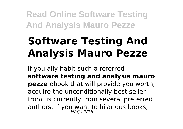# **Software Testing And Analysis Mauro Pezze**

If you ally habit such a referred **software testing and analysis mauro pezze** ebook that will provide you worth, acquire the unconditionally best seller from us currently from several preferred authors. If you want to hilarious books,<br>Page 1/16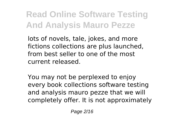lots of novels, tale, jokes, and more fictions collections are plus launched, from best seller to one of the most current released.

You may not be perplexed to enjoy every book collections software testing and analysis mauro pezze that we will completely offer. It is not approximately

Page 2/16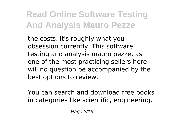the costs. It's roughly what you obsession currently. This software testing and analysis mauro pezze, as one of the most practicing sellers here will no question be accompanied by the best options to review.

You can search and download free books in categories like scientific, engineering,

Page 3/16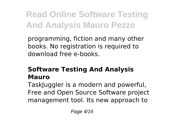programming, fiction and many other books. No registration is required to download free e-books.

#### **Software Testing And Analysis Mauro**

TaskJuggler is a modern and powerful, Free and Open Source Software project management tool. Its new approach to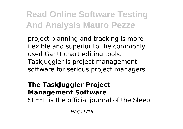project planning and tracking is more flexible and superior to the commonly used Gantt chart editing tools. TaskJuggler is project management software for serious project managers.

#### **The TaskJuggler Project Management Software**

SLEEP is the official journal of the Sleep

Page 5/16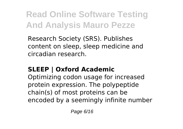Research Society (SRS). Publishes content on sleep, sleep medicine and circadian research.

#### **SLEEP | Oxford Academic**

Optimizing codon usage for increased protein expression. The polypeptide chain(s) of most proteins can be encoded by a seemingly infinite number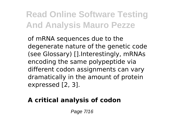of mRNA sequences due to the degenerate nature of the genetic code (see Glossary) [].Interestingly, mRNAs encoding the same polypeptide via different codon assignments can vary dramatically in the amount of protein expressed [2, 3].

#### **A critical analysis of codon**

Page 7/16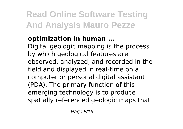#### **optimization in human ...**

Digital geologic mapping is the process by which geological features are observed, analyzed, and recorded in the field and displayed in real-time on a computer or personal digital assistant (PDA). The primary function of this emerging technology is to produce spatially referenced geologic maps that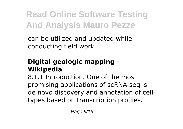can be utilized and updated while conducting field work.

#### **Digital geologic mapping - Wikipedia**

8.1.1 Introduction. One of the most promising applications of scRNA-seq is de novo discovery and annotation of celltypes based on transcription profiles.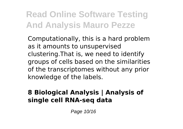Computationally, this is a hard problem as it amounts to unsupervised clustering.That is, we need to identify groups of cells based on the similarities of the transcriptomes without any prior knowledge of the labels.

#### **8 Biological Analysis | Analysis of single cell RNA-seq data**

Page 10/16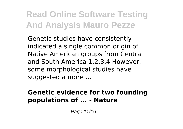Genetic studies have consistently indicated a single common origin of Native American groups from Central and South America 1,2,3,4.However, some morphological studies have suggested a more ...

#### **Genetic evidence for two founding populations of ... - Nature**

Page 11/16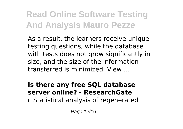As a result, the learners receive unique testing questions, while the database with tests does not grow significantly in size, and the size of the information transferred is minimized. View ...

#### **Is there any free SQL database server online? - ResearchGate**

c Statistical analysis of regenerated

Page 12/16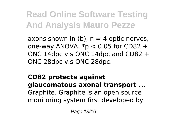axons shown in (b),  $n = 4$  optic nerves, one-way ANOVA,  $*p < 0.05$  for CD82 + ONC 14dpc v.s ONC 14dpc and CD82 + ONC 28dpc v.s ONC 28dpc.

**CD82 protects against glaucomatous axonal transport ...** Graphite. Graphite is an open source monitoring system first developed by

Page 13/16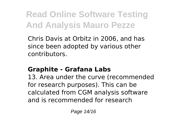Chris Davis at Orbitz in 2006, and has since been adopted by various other contributors.

#### **Graphite - Grafana Labs**

13. Area under the curve (recommended for research purposes). This can be calculated from CGM analysis software and is recommended for research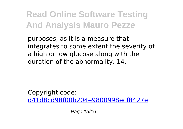purposes, as it is a measure that integrates to some extent the severity of a high or low glucose along with the duration of the abnormality. 14.

Copyright code: [d41d8cd98f00b204e9800998ecf8427e.](/sitemap.xml)

Page 15/16